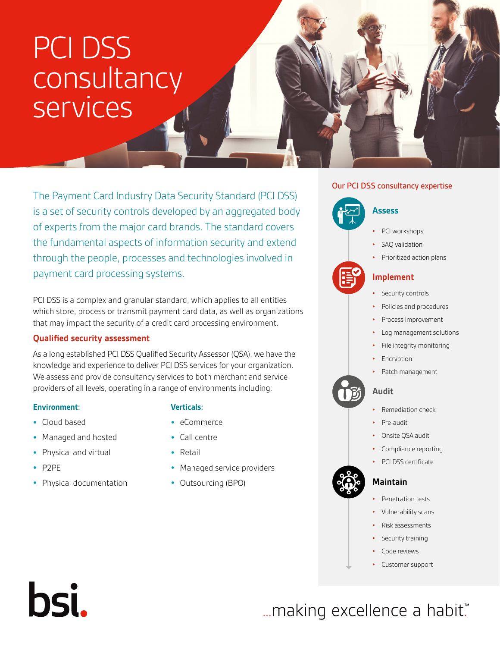# PCI DSS consultancy services

The Payment Card Industry Data Security Standard (PCI DSS) is a set of security controls developed by an aggregated body of experts from the major card brands. The standard covers the fundamental aspects of information security and extend through the people, processes and technologies involved in payment card processing systems.

PCI DSS is a complex and granular standard, which applies to all entities which store, process or transmit payment card data, as well as organizations that may impact the security of a credit card processing environment.

#### **Qualified security assessment**

As a long established PCI DSS Qualified Security Assessor (QSA), we have the knowledge and experience to deliver PCI DSS services for your organization. We assess and provide consultancy services to both merchant and service providers of all levels, operating in a range of environments including:

#### **Environment:**

- **•** Cloud based
- **•** Managed and hosted
- **•** Physical and virtual
- **•** P2PE

bsi.

**•** Physical documentation

#### **Verticals:**

- **•** eCommerce
- **•** Call centre
- **•** Retail
- **•** Managed service providers
- **•** Outsourcing (BPO)

#### Our PCI DSS consultancy expertise



- **•** PCI workshops
- **•** SAQ validation
- **•** Prioritized action plans

#### **Implement**

- **•** Security controls
- **•** Policies and procedures
- **•** Process improvement
- **•** Log management solutions
- **•** File integrity monitoring
- **•** Encryption
- **•** Patch management

#### **Audit**



- **•** Pre-audit
- **•** Onsite QSA audit
- **•** Compliance reporting
- **•** PCI DSS certificate

#### **Maintain**



- **•** Vulnerability scans
- **•** Risk assessments
- **•** Security training
- **•** Code reviews
- **•** Customer support

## ... making excellence a habit."